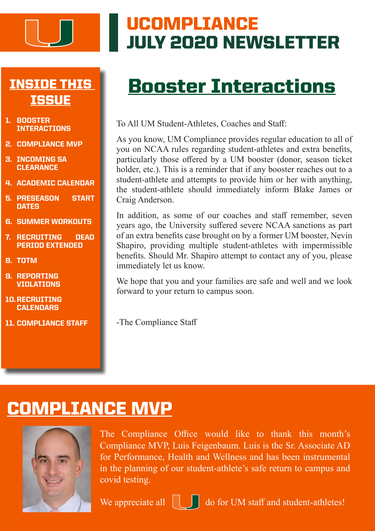

# UCOMPLIANCE JULY 2020 NEWSLETTER

### INSIDE THIS **ISSUE**

- 1. BOOSTER INTERACTIONS
- 2. COMPLIANCE MVP
- 3. INCOMING SA **CLEARANCE**
- 4. ACADEMIC CALENDAR
- 5. PRESEASON START **DATES**
- 6. SUMMER WORKOUTS
- 7. RECRUITING DEAD PERIOD EXTENDED
- 8. TOTM
- 9. REPORTING VIOLATIONS
- 10.RECRUITING **CALENDARS**
- 11. COMPLIANCE STAFF

# Booster Interactions

To All UM Student-Athletes, Coaches and Staff:

As you know, UM Compliance provides regular education to all of you on NCAA rules regarding student-athletes and extra benefits, particularly those offered by a UM booster (donor, season ticket holder, etc.). This is a reminder that if any booster reaches out to a student-athlete and attempts to provide him or her with anything, the student-athlete should immediately inform Blake James or Craig Anderson.

In addition, as some of our coaches and staff remember, seven years ago, the University suffered severe NCAA sanctions as part of an extra benefits case brought on by a former UM booster, Nevin Shapiro, providing multiple student-athletes with impermissible benefits. Should Mr. Shapiro attempt to contact any of you, please immediately let us know.

We hope that you and your families are safe and well and we look forward to your return to campus soon.

-The Compliance Staff

### COMPLIANCE MVP



The Compliance Office would like to thank this month's Compliance MVP, Luis Feigenbaum. Luis is the Sr. Associate AD for Performance, Health and Wellness and has been instrumental in the planning of our student-athlete's safe return to campus and covid testing.

We appreciate all  $\|\cdot\|$  do for UM staff and student-athletes!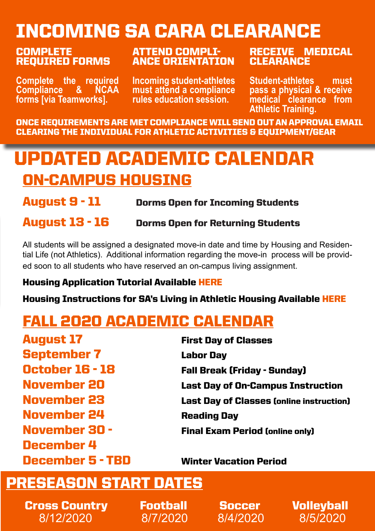### INCOMING SA CARA CLEARANCE

#### **COMPLETE** REQUIRED FORMS

**Complete the required<br>Compliance & NCAA Compliance forms [via Teamworks].**

# ATTEND COMPLI- ANCE ORIENTATION

**Incoming student-athletes must attend a compliance rules education session.**

RECEIVE MEDICAL **CLEARANCE** 

**Student-athletes must pass a physical & receive medical clearance from Athletic Training.**

ONCE REQUIREMENTS ARE MET COMPLIANCE WILL SEND OUT AN APPROVAL EMAIL CLEARING THE INDIVIDUAL FOR ATHLETIC ACTIVITIES & EQUIPMENT/GEAR

### UPDATED ACADEMIC CALENDAR ON-CAMPUS HOUSING

August 9 - 11 Dorms Open for Incoming Students

August 13 - 16 Dorms Open for Returning Students

All students will be assigned a designated move-in date and time by Housing and Residential Life (not Athletics). Additional information regarding the move-in process will be provided soon to all students who have reserved an on-campus living assignment.

#### Housing Application Tutorial Available [HERE](https://hrl.studentaffairs.miami.edu/_assets/pdf/application-tutorial-continuing-20-21.pdf)

Housing Instructions for SA's Living in Athletic Housing Available [HERE](https://hrl.studentaffairs.miami.edu/living-on-campus/move-in-move-out/index.html)

### FALL 2020 ACADEMIC CALENDAR

| <b>August 17</b>        | <b>First Day of Classes</b>                     |
|-------------------------|-------------------------------------------------|
| <b>September 7</b>      | <b>Labor Day</b>                                |
| <b>October 16 - 18</b>  | <b>Fall Break (Friday - Sunday)</b>             |
| <b>November 20</b>      | <b>Last Day of On-Campus Instruction</b>        |
| <b>November 23</b>      | <b>Last Day of Classes (online instruction)</b> |
| <b>November 24</b>      | <b>Reading Day</b>                              |
| <b>November 30 -</b>    | <b>Final Exam Period (online only)</b>          |
| December 4              |                                                 |
| <b>December 5 - TBD</b> | <b>Winter Vacation Period</b>                   |

### PRESEASON START DATES

Cross Country Football Soccer Volleyball 8/12/2020 8/7/2020 8/4/2020 8/5/2020

8/4/2020 8/5/2020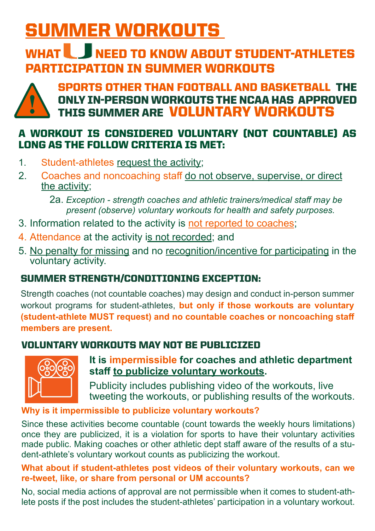# SUMMER WORKOUTS

### WHAT **NEED TO KNOW ABOUT STUDENT-ATHLETES** PARTICIPATION IN SUMMER WORKOUTS



#### SPORTS OTHER THAN FOOTBALL AND BASKETBALL THE ONLY IN-PERSON WORKOUTS THE NCAA HAS APPROVED THIS SUMMER ARE **VOLUNTARY WORKOUTS**

#### A WORKOUT IS CONSIDERED VOLUNTARY (NOT COUNTABLE) AS LONG AS THE FOLLOW CRITERIA IS MET:

- 1. Student-athletes request the activity;
- 2. Coaches and noncoaching staff do not observe, supervise, or direct the activity;
	- 2a. *Exception strength coaches and athletic trainers/medical staff may be present (observe) voluntary workouts for health and safety purposes.*
- 3. Information related to the activity is not reported to coaches;
- 4. Attendance at the activity is not recorded; and
- 5. No penalty for missing and no recognition/incentive for participating in the voluntary activity.

#### SUMMER STRENGTH/CONDITIONING EXCEPTION:

Strength coaches (not countable coaches) may design and conduct in-person summer workout programs for student-athletes, **but only if those workouts are voluntary (student-athlete MUST request) and no countable coaches or noncoaching staff members are present.**

#### VOLUNTARY WORKOUTS MAY NOT BE PUBLICIZED



#### **It is impermissible for coaches and athletic department staff to publicize voluntary workouts.**

 Publicity includes publishing video of the workouts, live tweeting the workouts, or publishing results of the workouts.

#### **Why is it impermissible to publicize voluntary workouts?**

Since these activities become countable (count towards the weekly hours limitations) once they are publicized, it is a violation for sports to have their voluntary activities made public. Making coaches or other athletic dept staff aware of the results of a student-athlete's voluntary workout counts as publicizing the workout.

#### **What about if student-athletes post videos of their voluntary workouts, can we re-tweet, like, or share from personal or UM accounts?**

No, social media actions of approval are not permissible when it comes to student-athlete posts if the post includes the student-athletes' participation in a voluntary workout.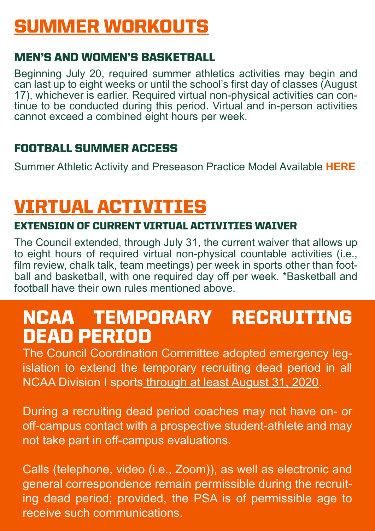# SUMMER WORKOUTS

### MEN'S AND WOMEN'S BASKETBALL

Beginning July 20, required summer athletics activities may begin and can last up to eight weeks or until the school's first day of classes (August 17), whichever is earlier. Required virtual non-physical activities can continue to be conducted during this period. Virtual and in-person activities cannot exceed a combined eight hours per week.

### FOOTBALL SUMMER ACCESS

Summer Athletic Activity and Preseason Practice Model Available **HERE**

# VIRTUAL ACTIVITIES

#### EXTENSION OF CURRENT VIRTUAL ACTIVITIES WAIVER

The Council extended, through July 31, the current waiver that allows up to eight hours of required virtual non-physical countable activities (i.e., film review, chalk talk, team meetings) per week in sports other than football and basketball, with one required day off per week. \*Basketball and football have their own rules mentioned above.

### NCAA TEMPORARY RECRUITING DEAD PERIOD

The Council Coordination Committee adopted emergency legislation to extend the temporary recruiting dead period in all NCAA Division I sports through at least August 31, 2020.

During a recruiting dead period coaches may not have on- or off-campus contact with a prospective student-athlete and may not take part in off-campus evaluations.

Calls (telephone, video (i.e., Zoom)), as well as electronic and general correspondence remain permissible during the recruiting dead period; provided, the PSA is of permissible age to receive such communications.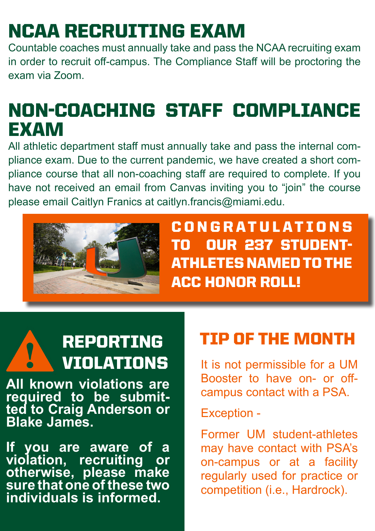# NCAA RECRUITING EXAM

Countable coaches must annually take and pass the NCAA recruiting exam in order to recruit off-campus. The Compliance Staff will be proctoring the exam via Zoom.

### NON-COACHING STAFF COMPLIANCE EXAM

All athletic department staff must annually take and pass the internal compliance exam. Due to the current pandemic, we have created a short compliance course that all non-coaching staff are required to complete. If you have not received an email from Canvas inviting you to "join" the course please email Caitlyn Franics at caitlyn.francis@miami.edu.



C O N G R A T U L A T I O N S TO OUR 237 STUDENT-ATHLETES NAMED TO THE ACC HONOR ROLL!

**All known violations are required to be submit- ted to Craig Anderson or Blake James.** 

**If you are aware of a violation, recruiting or otherwise, please make sure that one of these two individuals is informed.** 

### REPORTING TIP OF THE MONTH

VIOLATIONS It is not permissible for a UM Booster to have on- or offcampus contact with a PSA.

Exception -

Former UM student-athletes may have contact with PSA's on-campus or at a facility regularly used for practice or competition (i.e., Hardrock).